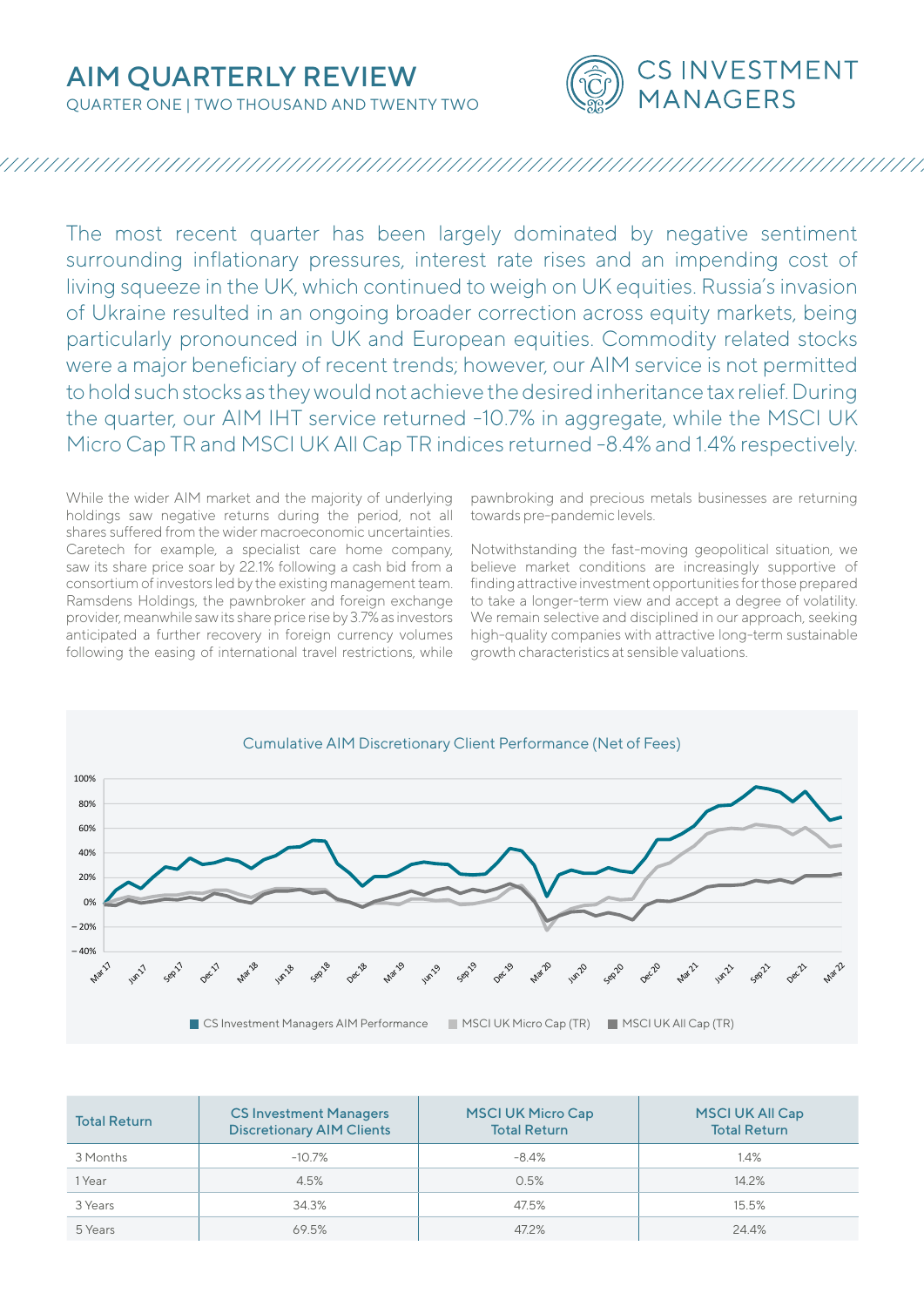QUARTER ONE | TWO THOUSAND AND TWENTY TWO



## 

The most recent quarter has been largely dominated by negative sentiment surrounding inflationary pressures, interest rate rises and an impending cost of living squeeze in the UK, which continued to weigh on UK equities. Russia's invasion of Ukraine resulted in an ongoing broader correction across equity markets, being particularly pronounced in UK and European equities. Commodity related stocks were a major beneficiary of recent trends; however, our AIM service is not permitted to hold such stocks as they would not achieve the desired inheritance tax relief. During the quarter, our AIM IHT service returned -10.7% in aggregate, while the MSCI UK Micro Cap TR and MSCI UK All Cap TR indices returned -8.4% and 1.4% respectively.

While the wider AIM market and the majority of underlying holdings saw negative returns during the period, not all shares suffered from the wider macroeconomic uncertainties. Caretech for example, a specialist care home company, saw its share price soar by 22.1% following a cash bid from a consortium of investors led by the existing management team. Ramsdens Holdings, the pawnbroker and foreign exchange provider, meanwhile saw its share price rise by 3.7% as investors anticipated a further recovery in foreign currency volumes following the easing of international travel restrictions, while

pawnbroking and precious metals businesses are returning towards pre-pandemic levels.

Notwithstanding the fast-moving geopolitical situation, we believe market conditions are increasingly supportive of finding attractive investment opportunities for those prepared to take a longer-term view and accept a degree of volatility. We remain selective and disciplined in our approach, seeking high-quality companies with attractive long-term sustainable growth characteristics at sensible valuations.



| <b>Total Return</b> | <b>CS Investment Managers</b><br><b>Discretionary AIM Clients</b> | <b>MSCI UK Micro Cap</b><br><b>Total Return</b> | <b>MSCI UK All Cap</b><br><b>Total Return</b> |
|---------------------|-------------------------------------------------------------------|-------------------------------------------------|-----------------------------------------------|
| 3 Months            | $-10.7\%$                                                         | $-8.4\%$                                        | 1.4%                                          |
| 1 Year              | 4.5%                                                              | 0.5%                                            | 14.2%                                         |
| 3 Years             | 34.3%                                                             | 47.5%                                           | 15.5%                                         |
| 5 Years             | 69.5%                                                             | 47.2%                                           | 24.4%                                         |